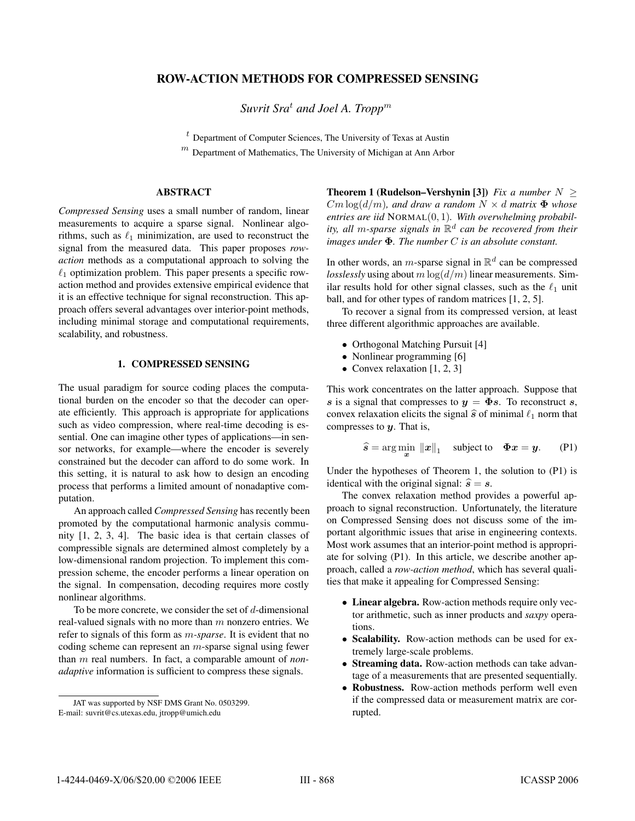# **ROW-ACTION METHODS FOR COMPRESSED SENSING**

*Suvrit Sra<sup>t</sup> and Joel A. Tropp<sup>m</sup>* 

 $<sup>t</sup>$  Department of Computer Sciences, The University of Texas at Austin</sup>

 $<sup>m</sup>$  Department of Mathematics, The University of Michigan at Ann Arbor</sup>

## **ABSTRACT**

*Compressed Sensing* uses a small number of random, linear measurements to acquire a sparse signal. Nonlinear algorithms, such as  $\ell_1$  minimization, are used to reconstruct the signal from the measured data. This paper proposes *rowaction* methods as a computational approach to solving the  $\ell_1$  optimization problem. This paper presents a specific rowaction method and provides extensive empirical evidence that it is an effective technique for signal reconstruction. This approach offers several advantages over interior-point methods, including minimal storage and computational requirements, scalability, and robustness.

# **1. COMPRESSED SENSING**

The usual paradigm for source coding places the computational burden on the encoder so that the decoder can operate efficiently. This approach is appropriate for applications such as video compression, where real-time decoding is essential. One can imagine other types of applications—in sensor networks, for example—where the encoder is severely constrained but the decoder can afford to do some work. In this setting, it is natural to ask how to design an encoding process that performs a limited amount of nonadaptive computation.

An approach called *Compressed Sensing* has recently been promoted by the computational harmonic analysis community [1, 2, 3, 4]. The basic idea is that certain classes of compressible signals are determined almost completely by a low-dimensional random projection. To implement this compression scheme, the encoder performs a linear operation on the signal. In compensation, decoding requires more costly nonlinear algorithms.

To be more concrete, we consider the set of  $d$ -dimensional real-valued signals with no more than  $m$  nonzero entries. We refer to signals of this form as m*-sparse*. It is evident that no coding scheme can represent an m-sparse signal using fewer than m real numbers. In fact, a comparable amount of *nonadaptive* information is sufficient to compress these signals.

**Theorem 1 (Rudelson–Vershynin [3])** *Fix a number*  $N \geq$  $Cm \log(d/m)$ *, and draw a random*  $N \times d$  *matrix*  $\Phi$  *whose entries are iid* <sup>N</sup>ORMAL(0, 1)*. With overwhelming probability, all m-sparse signals in*  $\mathbb{R}^d$  *can be recovered from their images under* **Φ***. The number* C *is an absolute constant.*

In other words, an *m*-sparse signal in  $\mathbb{R}^d$  can be compressed *losslessly* using about  $m \log(d/m)$  linear measurements. Similar results hold for other signal classes, such as the  $\ell_1$  unit ball, and for other types of random matrices [1, 2, 5].

To recover a signal from its compressed version, at least three different algorithmic approaches are available.

- Orthogonal Matching Pursuit [4]
- Nonlinear programming [6]
- Convex relaxation [1, 2, 3]

This work concentrates on the latter approach. Suppose that **s** is a signal that compresses to  $y = \Phi s$ . To reconstruct **s**, convex relaxation elicits the signal  $\hat{s}$  of minimal  $\ell_1$  norm that compresses to **y**. That is,

$$
\widehat{s} = \arg\min_{\bm{x}} \|\bm{x}\|_1 \quad \text{subject to} \quad \Phi \bm{x} = \bm{y}. \tag{P1}
$$

Under the hypotheses of Theorem 1, the solution to (P1) is identical with the original signal:  $\hat{s} = s$ .

The convex relaxation method provides a powerful approach to signal reconstruction. Unfortunately, the literature on Compressed Sensing does not discuss some of the important algorithmic issues that arise in engineering contexts. Most work assumes that an interior-point method is appropriate for solving (P1). In this article, we describe another approach, called a *row-action method*, which has several qualities that make it appealing for Compressed Sensing:

- **Linear algebra.** Row-action methods require only vector arithmetic, such as inner products and *saxpy* operations.
- **Scalability.** Row-action methods can be used for extremely large-scale problems.
- **Streaming data.** Row-action methods can take advantage of a measurements that are presented sequentially.
- **Robustness.** Row-action methods perform well even if the compressed data or measurement matrix are corrupted.

JAT was supported by NSF DMS Grant No. 0503299. E-mail: suvrit@cs.utexas.edu, jtropp@umich.edu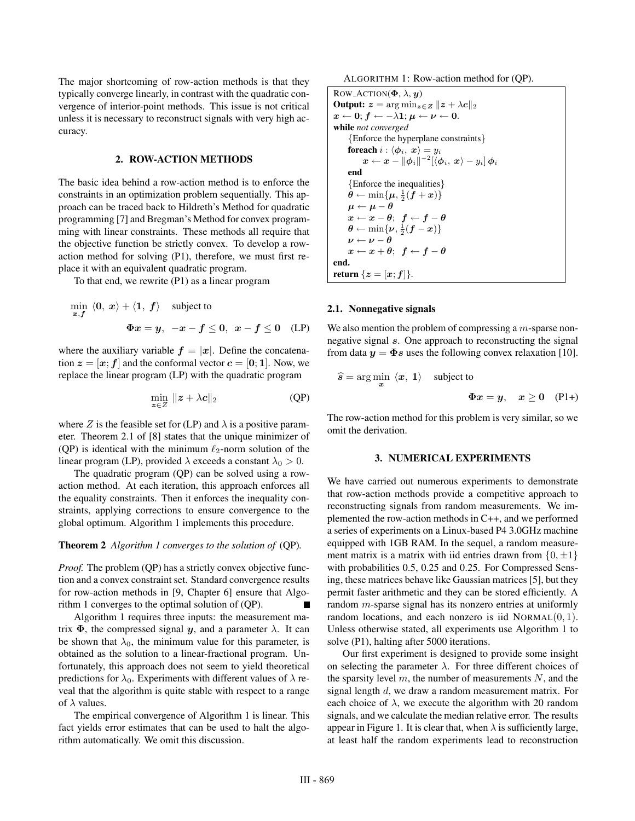The major shortcoming of row-action methods is that they typically converge linearly, in contrast with the quadratic convergence of interior-point methods. This issue is not critical unless it is necessary to reconstruct signals with very high accuracy.

# **2. ROW-ACTION METHODS**

The basic idea behind a row-action method is to enforce the constraints in an optimization problem sequentially. This approach can be traced back to Hildreth's Method for quadratic programming [7] and Bregman's Method for convex programming with linear constraints. These methods all require that the objective function be strictly convex. To develop a rowaction method for solving (P1), therefore, we must first replace it with an equivalent quadratic program.

To that end, we rewrite (P1) as a linear program

$$
\min_{x,f} \langle 0, x \rangle + \langle 1, f \rangle \quad \text{subject to}
$$
\n
$$
\Phi x = y, \quad -x - f \le 0, \quad x - f \le 0 \quad \text{(LP)}
$$

where the auxiliary variable  $f = |x|$ . Define the concatenation  $z = [x; f]$  and the conformal vector  $c = [0; 1]$ . Now, we replace the linear program (LP) with the quadratic program

$$
\min_{\mathbf{z}\in Z} \|\mathbf{z} + \lambda \mathbf{c}\|_2 \tag{QP}
$$

where Z is the feasible set for (LP) and  $\lambda$  is a positive parameter. Theorem 2.1 of [8] states that the unique minimizer of (QP) is identical with the minimum  $\ell_2$ -norm solution of the linear program (LP), provided  $\lambda$  exceeds a constant  $\lambda_0 > 0$ .

The quadratic program (QP) can be solved using a rowaction method. At each iteration, this approach enforces all the equality constraints. Then it enforces the inequality constraints, applying corrections to ensure convergence to the global optimum. Algorithm 1 implements this procedure.

### **Theorem 2** *Algorithm 1 converges to the solution of* (QP)*.*

*Proof.* The problem (QP) has a strictly convex objective function and a convex constraint set. Standard convergence results for row-action methods in [9, Chapter 6] ensure that Algorithm 1 converges to the optimal solution of (QP).

Algorithm 1 requires three inputs: the measurement matrix  $\Phi$ , the compressed signal y, and a parameter  $\lambda$ . It can be shown that  $\lambda_0$ , the minimum value for this parameter, is obtained as the solution to a linear-fractional program. Unfortunately, this approach does not seem to yield theoretical predictions for  $\lambda_0$ . Experiments with different values of  $\lambda$  reveal that the algorithm is quite stable with respect to a range of  $\lambda$  values.

The empirical convergence of Algorithm 1 is linear. This fact yields error estimates that can be used to halt the algorithm automatically. We omit this discussion.

ALGORITHM 1: Row-action method for (QP).

```
ROW_ACTION(\Phi, \lambda, \boldsymbol{u})
Output: z = \arg \min_{z \in \mathbf{Z}} ||z + \lambda c||_2x ← 0; f ← -\lambda1; \mu ← \nu ← 0.
while not converged
        {Enforce the hyperplane constraints}
       foreach i : \langle \phi_i, x \rangle = y_i\mathbf{x} \leftarrow \mathbf{x} - ||\boldsymbol{\phi}_i||^{-2}[\langle \boldsymbol{\phi}_i, \mathbf{x} \rangle - y_i] \boldsymbol{\phi}_iend
       {Enforce the inequalities}
        \hat{\boldsymbol{\theta}} \leftarrow \min\{\boldsymbol{\mu}, \frac{1}{2}(\hat{\boldsymbol{f}} + \boldsymbol{x})\}\mu \leftarrow \mu - \thetax \leftarrow x - \theta; f \leftarrow f - \theta\boldsymbol{\theta} \leftarrow \min\{\boldsymbol{\nu}, \frac{1}{2}(\boldsymbol{f} - \boldsymbol{x})\}\nu \leftarrow \nu - \thetax \leftarrow x + \theta; f \leftarrow f - \thetaend.
return {z = [x; f] }.
```
#### **2.1. Nonnegative signals**

We also mention the problem of compressing a  $m$ -sparse nonnegative signal **s**. One approach to reconstructing the signal from data  $y = \Phi s$  uses the following convex relaxation [10].

$$
\hat{s} = \arg\min_{x} \langle x, 1 \rangle \quad \text{subject to}
$$
  

$$
\Phi x = y, \quad x \ge 0 \quad (\text{P1+})
$$

The row-action method for this problem is very similar, so we omit the derivation.

#### **3. NUMERICAL EXPERIMENTS**

We have carried out numerous experiments to demonstrate that row-action methods provide a competitive approach to reconstructing signals from random measurements. We implemented the row-action methods in C++, and we performed a series of experiments on a Linux-based P4 3.0GHz machine equipped with 1GB RAM. In the sequel, a random measurement matrix is a matrix with iid entries drawn from  $\{0, \pm 1\}$ with probabilities 0.5, 0.25 and 0.25. For Compressed Sensing, these matrices behave like Gaussian matrices [5], but they permit faster arithmetic and they can be stored efficiently. A random m-sparse signal has its nonzero entries at uniformly random locations, and each nonzero is iid  $NORMAL(0, 1)$ . Unless otherwise stated, all experiments use Algorithm 1 to solve (P1), halting after 5000 iterations.

Our first experiment is designed to provide some insight on selecting the parameter  $\lambda$ . For three different choices of the sparsity level  $m$ , the number of measurements  $N$ , and the signal length d, we draw a random measurement matrix. For each choice of  $\lambda$ , we execute the algorithm with 20 random signals, and we calculate the median relative error. The results appear in Figure 1. It is clear that, when  $\lambda$  is sufficiently large, at least half the random experiments lead to reconstruction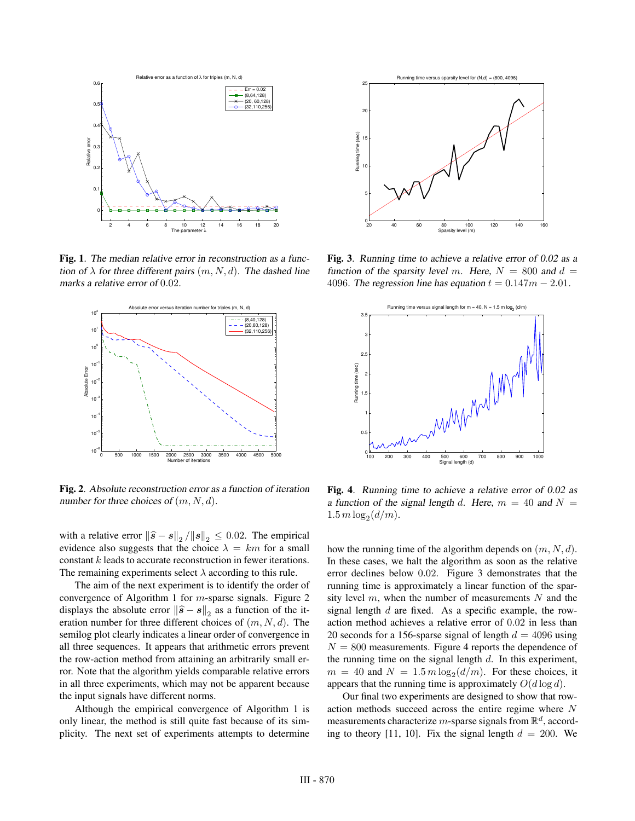

**Fig. 1**. The median relative error in reconstruction as <sup>a</sup> function of  $\lambda$  for three different pairs  $(m, N, d)$ . The dashed line marks <sup>a</sup> relative error of <sup>0</sup>.02.



**Fig. 2**. Absolute reconstruction error as <sup>a</sup> function of iteration number for three choices of  $(m, N, d)$ .

with a relative error  $\|\hat{\mathbf{s}} - \mathbf{s}\|_2 / \| \mathbf{s} \|_2 \leq 0.02$ . The empirical<br>evidence also suggests that the choice  $\lambda = km$  for a small evidence also suggests that the choice  $\lambda = km$  for a small constant k leads to accurate reconstruction in fewer iterations. The remaining experiments select  $\lambda$  according to this rule.

The aim of the next experiment is to identify the order of convergence of Algorithm 1 for m-sparse signals. Figure 2 displays the absolute error  $\|\hat{s} - s\|_2$  as a function of the iteration number for three different choices of  $(m, N, d)$ . The semilog plot clearly indicates a linear order of convergence in all three sequences. It appears that arithmetic errors prevent the row-action method from attaining an arbitrarily small error. Note that the algorithm yields comparable relative errors in all three experiments, which may not be apparent because the input signals have different norms.

Although the empirical convergence of Algorithm 1 is only linear, the method is still quite fast because of its simplicity. The next set of experiments attempts to determine



**Fig. 3**. Running time to achieve <sup>a</sup> relative error of 0.02 as <sup>a</sup> function of the sparsity level m. Here,  $N = 800$  and  $d =$ 4096. The regression line has equation  $t = 0.147m - 2.01$ .



**Fig. 4**. Running time to achieve <sup>a</sup> relative error of 0.02 as a function of the signal length d. Here,  $m = 40$  and  $N =$  $1.5 m \log_2(d/m)$ .

how the running time of the algorithm depends on  $(m, N, d)$ . In these cases, we halt the algorithm as soon as the relative error declines below 0.02. Figure 3 demonstrates that the running time is approximately a linear function of the sparsity level  $m$ , when the number of measurements  $N$  and the signal length  $d$  are fixed. As a specific example, the rowaction method achieves a relative error of 0.02 in less than 20 seconds for a 156-sparse signal of length  $d = 4096$  using  $N = 800$  measurements. Figure 4 reports the dependence of the running time on the signal length  $d$ . In this experiment,  $m = 40$  and  $N = 1.5 m \log_2(d/m)$ . For these choices, it appears that the running time is approximately  $O(d \log d)$ .

Our final two experiments are designed to show that rowaction methods succeed across the entire regime where N measurements characterize m-sparse signals from  $\mathbb{R}^d$ , according to theory [11, 10]. Fix the signal length  $d = 200$ . We